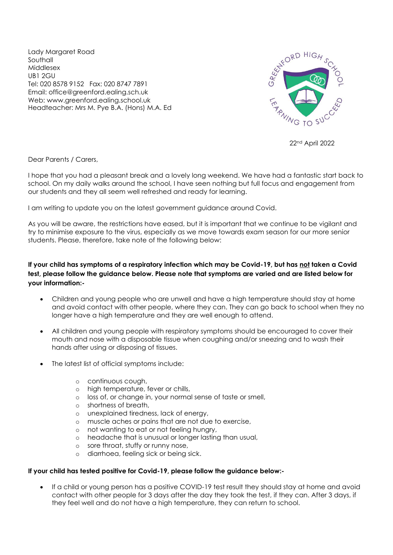Lady Margaret Road Southall Middlesex UB1 2GU Tel: 020 8578 9152 Fax: 020 8747 7891 Email: office@greenford.ealing.sch.uk Web: www.greenford.ealing.school.uk Headteacher: Mrs M. Pye B.A. (Hons) M.A. Ed



22nd April 2022

Dear Parents / Carers,

I hope that you had a pleasant break and a lovely long weekend. We have had a fantastic start back to school. On my daily walks around the school, I have seen nothing but full focus and engagement from our students and they all seem well refreshed and ready for learning.

I am writing to update you on the latest government guidance around Covid.

As you will be aware, the restrictions have eased, but it is important that we continue to be vigilant and try to minimise exposure to the virus, especially as we move towards exam season for our more senior students. Please, therefore, take note of the following below:

## **If your child has symptoms of a respiratory infection which may be Covid-19, but has not taken a Covid test, please follow the guidance below. Please note that symptoms are varied and are listed below for your information:-**

- Children and young people who are unwell and have a high temperature should stay at home and avoid contact with other people, where they can. They can go back to school when they no longer have a high temperature and they are well enough to attend.
- All children and young people with respiratory symptoms should be encouraged to cover their mouth and nose with a disposable tissue when coughing and/or sneezing and to wash their hands after using or disposing of tissues.
- The latest list of official symptoms include:
	- o continuous cough,
	- o high temperature, fever or chills,
	- o loss of, or change in, your normal sense of taste or smell,
	- o shortness of breath,
	- o unexplained tiredness, lack of energy,
	- o muscle aches or pains that are not due to exercise,
	- o not wanting to eat or not feeling hungry,
	- o headache that is unusual or longer lasting than usual,
	- o sore throat, stuffy or runny nose,
	- o diarrhoea, feeling sick or being sick.

## **If your child has tested positive for Covid-19, please follow the guidance below:-**

• If a child or young person has a positive COVID-19 test result they should stay at home and avoid contact with other people for 3 days after the day they took the test, if they can. After 3 days, if they feel well and do not have a high temperature, they can return to school.